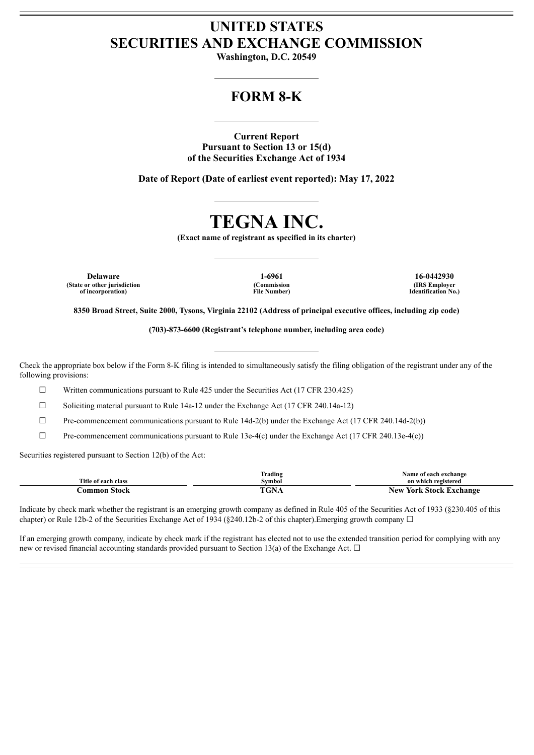# **UNITED STATES SECURITIES AND EXCHANGE COMMISSION**

**Washington, D.C. 20549**

# **FORM 8-K**

**Current Report Pursuant to Section 13 or 15(d) of the Securities Exchange Act of 1934**

**Date of Report (Date of earliest event reported): May 17, 2022**

# **TEGNA INC.**

**(Exact name of registrant as specified in its charter)**

**Delaware 1-6961 16-0442930 (State or other jurisdiction of incorporation)**

**(Commission File Number)**

**(IRS Employer Identification No.)**

8350 Broad Street, Suite 2000, Tysons, Virginia 22102 (Address of principal executive offices, including zip code)

**(703)-873-6600 (Registrant's telephone number, including area code)**

Check the appropriate box below if the Form 8-K filing is intended to simultaneously satisfy the filing obligation of the registrant under any of the following provisions:

 $\Box$  Written communications pursuant to Rule 425 under the Securities Act (17 CFR 230.425)

 $\Box$  Soliciting material pursuant to Rule 14a-12 under the Exchange Act (17 CFR 240.14a-12)

 $\Box$  Pre-commencement communications pursuant to Rule 14d-2(b) under the Exchange Act (17 CFR 240.14d-2(b))

 $\Box$  Pre-commencement communications pursuant to Rule 13e-4(c) under the Exchange Act (17 CFR 240.13e-4(c))

Securities registered pursuant to Section 12(b) of the Act:

|                     | --<br>l`rading | Name of each exchange             |
|---------------------|----------------|-----------------------------------|
| Title of each class | Symbol         | on which registered               |
| Stock<br>.ommon     | "GNA           | <b>York Stock Exchange</b><br>New |

Indicate by check mark whether the registrant is an emerging growth company as defined in Rule 405 of the Securities Act of 1933 (§230.405 of this chapter) or Rule 12b-2 of the Securities Exchange Act of 1934 (§240.12b-2 of this chapter). Emerging growth company  $\Box$ 

If an emerging growth company, indicate by check mark if the registrant has elected not to use the extended transition period for complying with any new or revised financial accounting standards provided pursuant to Section 13(a) of the Exchange Act.  $\Box$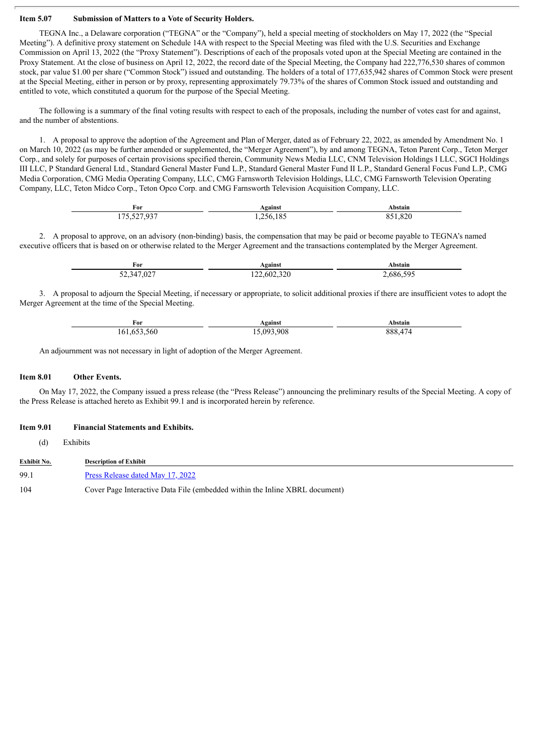### **Item 5.07 Submission of Matters to a Vote of Security Holders.**

TEGNA Inc., a Delaware corporation ("TEGNA" or the "Company"), held a special meeting of stockholders on May 17, 2022 (the "Special Meeting"). A definitive proxy statement on Schedule 14A with respect to the Special Meeting was filed with the U.S. Securities and Exchange Commission on April 13, 2022 (the "Proxy Statement"). Descriptions of each of the proposals voted upon at the Special Meeting are contained in the Proxy Statement. At the close of business on April 12, 2022, the record date of the Special Meeting, the Company had 222,776,530 shares of common stock, par value \$1.00 per share ("Common Stock") issued and outstanding. The holders of a total of 177,635,942 shares of Common Stock were present at the Special Meeting, either in person or by proxy, representing approximately 79.73% of the shares of Common Stock issued and outstanding and entitled to vote, which constituted a quorum for the purpose of the Special Meeting.

The following is a summary of the final voting results with respect to each of the proposals, including the number of votes cast for and against, and the number of abstentions.

1. A proposal to approve the adoption of the Agreement and Plan of Merger, dated as of February 22, 2022, as amended by Amendment No. 1 on March 10, 2022 (as may be further amended or supplemented, the "Merger Agreement"), by and among TEGNA, Teton Parent Corp., Teton Merger Corp., and solely for purposes of certain provisions specified therein, Community News Media LLC, CNM Television Holdings I LLC, SGCI Holdings III LLC, P Standard General Ltd., Standard General Master Fund L.P., Standard General Master Fund II L.P., Standard General Focus Fund L.P., CMG Media Corporation, CMG Media Operating Company, LLC, CMG Farnsworth Television Holdings, LLC, CMG Farnsworth Television Operating Company, LLC, Teton Midco Corp., Teton Opco Corp. and CMG Farnsworth Television Acquisition Company, LLC.

| For                                                      | Against              | Abstain |
|----------------------------------------------------------|----------------------|---------|
| $\sim$ cost one.<br>$\overline{\phantom{a}}$<br>u<br>1/2 | - - -<br>'56-<br>182 | ,820    |

2. A proposal to approve, on an advisory (non-binding) basis, the compensation that may be paid or become payable to TEGNA's named executive officers that is based on or otherwise related to the Merger Agreement and the transactions contemplated by the Merger Agreement.

| For        | Against     | Abstain  |
|------------|-------------|----------|
| 52,347,027 | 122,602,320 | .686.595 |

3. A proposal to adjourn the Special Meeting, if necessary or appropriate, to solicit additional proxies if there are insufficient votes to adopt the Merger Agreement at the time of the Special Meeting.

| For            | Against   | Abstain                                   |
|----------------|-----------|-------------------------------------------|
| 560<br>161,653 | 5.093.908 | $\overline{a}$<br>888<br>$\Delta'/\Delta$ |

An adjournment was not necessary in light of adoption of the Merger Agreement.

#### **Item 8.01 Other Events.**

On May 17, 2022, the Company issued a press release (the "Press Release") announcing the preliminary results of the Special Meeting. A copy of the Press Release is attached hereto as Exhibit 99.1 and is incorporated herein by reference.

#### **Item 9.01 Financial Statements and Exhibits.**

(d) Exhibits

| <b>Exhibit No.</b> | <b>Description of Exhibit</b>                                               |  |
|--------------------|-----------------------------------------------------------------------------|--|
| 99.1               | Press Release dated May 17, 2022                                            |  |
| 104                | Cover Page Interactive Data File (embedded within the Inline XBRL document) |  |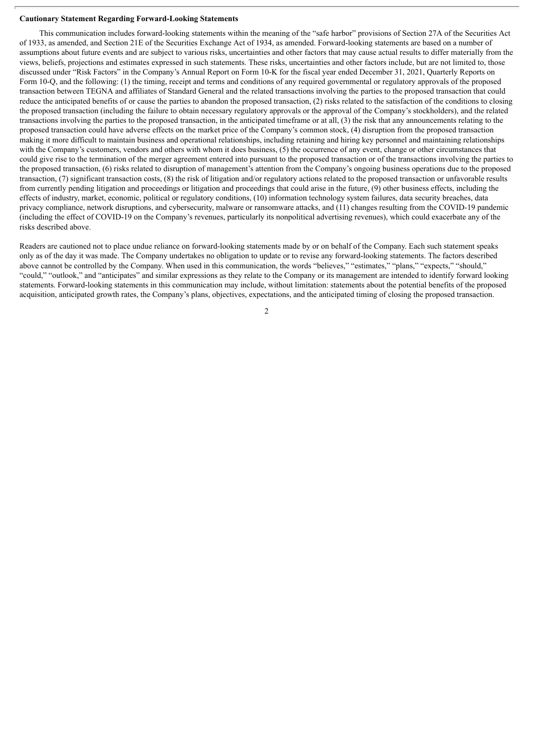#### **Cautionary Statement Regarding Forward-Looking Statements**

This communication includes forward-looking statements within the meaning of the "safe harbor" provisions of Section 27A of the Securities Act of 1933, as amended, and Section 21E of the Securities Exchange Act of 1934, as amended. Forward-looking statements are based on a number of assumptions about future events and are subject to various risks, uncertainties and other factors that may cause actual results to differ materially from the views, beliefs, projections and estimates expressed in such statements. These risks, uncertainties and other factors include, but are not limited to, those discussed under "Risk Factors" in the Company's Annual Report on Form 10-K for the fiscal year ended December 31, 2021, Quarterly Reports on Form 10-Q, and the following: (1) the timing, receipt and terms and conditions of any required governmental or regulatory approvals of the proposed transaction between TEGNA and affiliates of Standard General and the related transactions involving the parties to the proposed transaction that could reduce the anticipated benefits of or cause the parties to abandon the proposed transaction, (2) risks related to the satisfaction of the conditions to closing the proposed transaction (including the failure to obtain necessary regulatory approvals or the approval of the Company's stockholders), and the related transactions involving the parties to the proposed transaction, in the anticipated timeframe or at all, (3) the risk that any announcements relating to the proposed transaction could have adverse effects on the market price of the Company's common stock, (4) disruption from the proposed transaction making it more difficult to maintain business and operational relationships, including retaining and hiring key personnel and maintaining relationships with the Company's customers, vendors and others with whom it does business, (5) the occurrence of any event, change or other circumstances that could give rise to the termination of the merger agreement entered into pursuant to the proposed transaction or of the transactions involving the parties to the proposed transaction, (6) risks related to disruption of management's attention from the Company's ongoing business operations due to the proposed transaction, (7) significant transaction costs, (8) the risk of litigation and/or regulatory actions related to the proposed transaction or unfavorable results from currently pending litigation and proceedings or litigation and proceedings that could arise in the future, (9) other business effects, including the effects of industry, market, economic, political or regulatory conditions, (10) information technology system failures, data security breaches, data privacy compliance, network disruptions, and cybersecurity, malware or ransomware attacks, and (11) changes resulting from the COVID-19 pandemic (including the effect of COVID-19 on the Company's revenues, particularly its nonpolitical advertising revenues), which could exacerbate any of the risks described above.

Readers are cautioned not to place undue reliance on forward-looking statements made by or on behalf of the Company. Each such statement speaks only as of the day it was made. The Company undertakes no obligation to update or to revise any forward-looking statements. The factors described above cannot be controlled by the Company. When used in this communication, the words "believes," "estimates," "plans," "expects," "should," "could," "outlook," and "anticipates" and similar expressions as they relate to the Company or its management are intended to identify forward looking statements. Forward-looking statements in this communication may include, without limitation: statements about the potential benefits of the proposed acquisition, anticipated growth rates, the Company's plans, objectives, expectations, and the anticipated timing of closing the proposed transaction.

 $\mathfrak{D}$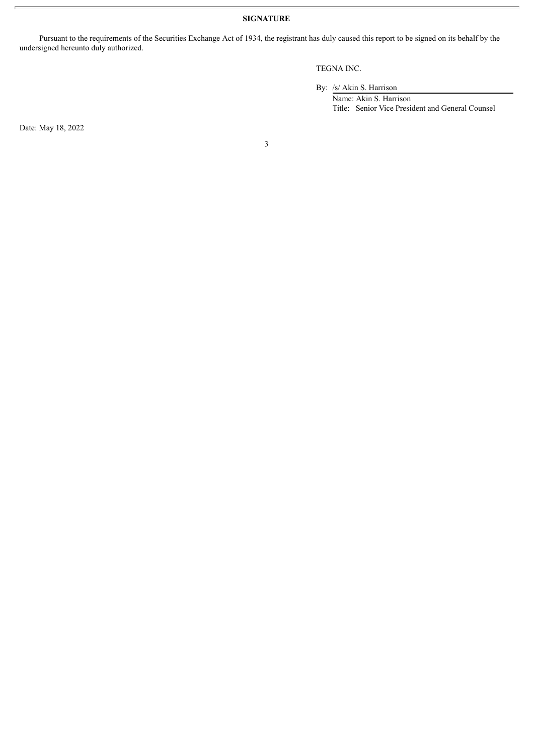**SIGNATURE**

Pursuant to the requirements of the Securities Exchange Act of 1934, the registrant has duly caused this report to be signed on its behalf by the undersigned hereunto duly authorized.

# TEGNA INC.

By: /s/ Akin S. Harrison

Name: Akin S. Harrison Title: Senior Vice President and General Counsel

Date: May 18, 2022

3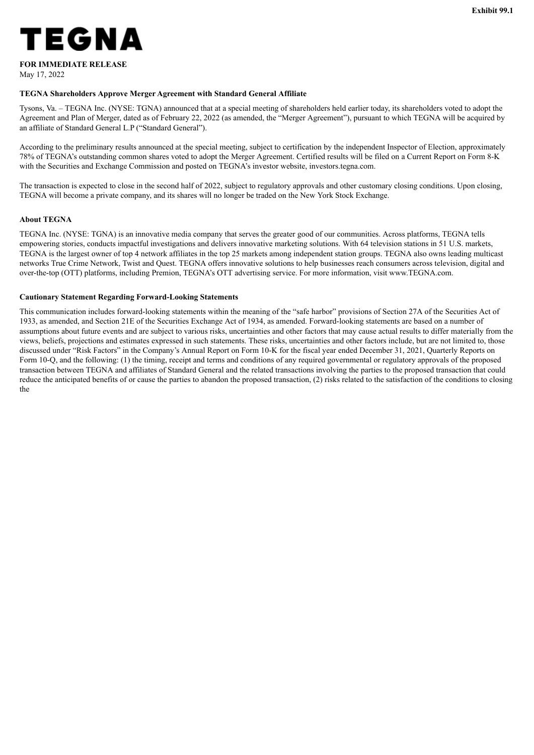<span id="page-4-0"></span>

# **FOR IMMEDIATE RELEASE**

May 17, 2022

# **TEGNA Shareholders Approve Merger Agreement with Standard General Affiliate**

Tysons, Va. – TEGNA Inc. (NYSE: TGNA) announced that at a special meeting of shareholders held earlier today, its shareholders voted to adopt the Agreement and Plan of Merger, dated as of February 22, 2022 (as amended, the "Merger Agreement"), pursuant to which TEGNA will be acquired by an affiliate of Standard General L.P ("Standard General").

According to the preliminary results announced at the special meeting, subject to certification by the independent Inspector of Election, approximately 78% of TEGNA's outstanding common shares voted to adopt the Merger Agreement. Certified results will be filed on a Current Report on Form 8-K with the Securities and Exchange Commission and posted on TEGNA's investor website, investors.tegna.com.

The transaction is expected to close in the second half of 2022, subject to regulatory approvals and other customary closing conditions. Upon closing, TEGNA will become a private company, and its shares will no longer be traded on the New York Stock Exchange.

# **About TEGNA**

TEGNA Inc. (NYSE: TGNA) is an innovative media company that serves the greater good of our communities. Across platforms, TEGNA tells empowering stories, conducts impactful investigations and delivers innovative marketing solutions. With 64 television stations in 51 U.S. markets, TEGNA is the largest owner of top 4 network affiliates in the top 25 markets among independent station groups. TEGNA also owns leading multicast networks True Crime Network, Twist and Quest. TEGNA offers innovative solutions to help businesses reach consumers across television, digital and over-the-top (OTT) platforms, including Premion, TEGNA's OTT advertising service. For more information, visit www.TEGNA.com.

# **Cautionary Statement Regarding Forward-Looking Statements**

This communication includes forward-looking statements within the meaning of the "safe harbor" provisions of Section 27A of the Securities Act of 1933, as amended, and Section 21E of the Securities Exchange Act of 1934, as amended. Forward-looking statements are based on a number of assumptions about future events and are subject to various risks, uncertainties and other factors that may cause actual results to differ materially from the views, beliefs, projections and estimates expressed in such statements. These risks, uncertainties and other factors include, but are not limited to, those discussed under "Risk Factors" in the Company's Annual Report on Form 10-K for the fiscal year ended December 31, 2021, Quarterly Reports on Form 10-Q, and the following: (1) the timing, receipt and terms and conditions of any required governmental or regulatory approvals of the proposed transaction between TEGNA and affiliates of Standard General and the related transactions involving the parties to the proposed transaction that could reduce the anticipated benefits of or cause the parties to abandon the proposed transaction, (2) risks related to the satisfaction of the conditions to closing the